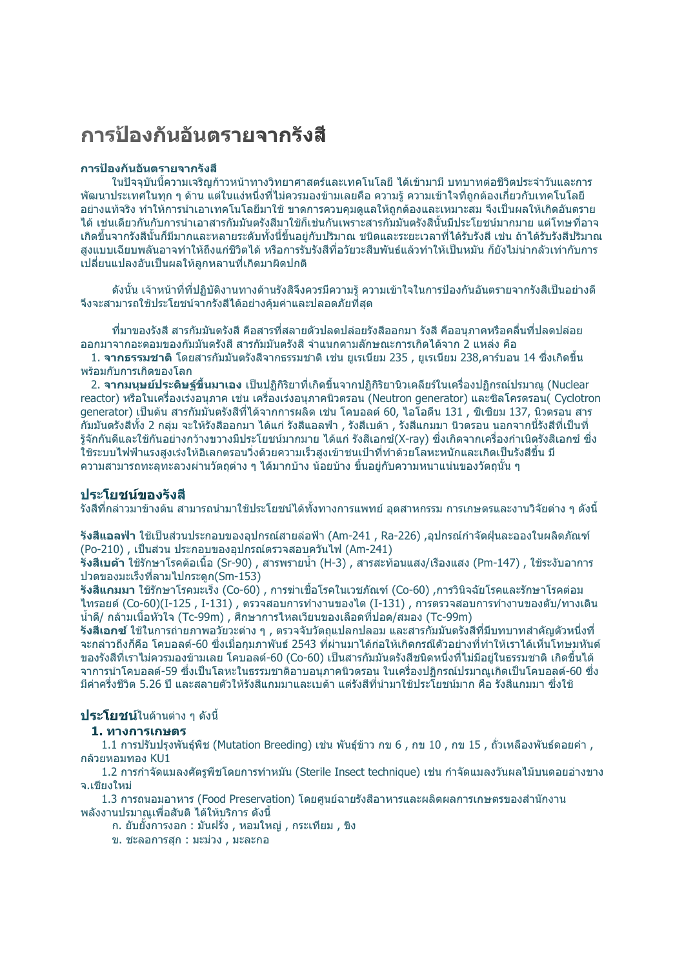# ีการป้องกันอันตรายจากรังสื

#### การป้องกันอันตรายจากรังสื

ในปัจจุบันนี้ความเจริญก้าวหน้าทางวิทยาศาสตร์และเทคโนโลยี ได้เข้ามามี บทบาทต่อชีวิตประจำวันและการ ี พัฒนาประเทศในทุก ๆ ด้าน แต่ในแง่หนึ่งที่ไม่ควรมองข้ามเลยคือ ความรู้ ความเข้าใจที่ถูกต้องเกี่ยวกับเทคโนโลยี ้อย่างแท้จริง ทำให้การนำเอาเทคโนโลยีมาใช้ ขาดการควบคมดแลให้ถกต้องและเหมาะสม จึงเป็นผลให้เกิดอันตราย ี่ได้ เช่นเดียวกันกับการนำเอาสารกัมมันตรังสีมาใช้ก็เช่นกันเพราะสารกัมมันตรังสีนั้นมีประโยชน์มากมาย แต่โทษที่อาจ ้เกิดขึ้นจากรังสี่นั้นก็มีมากและหลายระดับทั้งนี้ขึ้นอยู่กับปริมาณ ชนิดและระยะเวลาที่ได้รับรังสี เช่น ถ้าได้รับรังสีปริมาณ สงแบบเฉียบพลันอาจทำให้ถึงแก่ชีวิตได้ หรือการรับรังสีที่อวัยวะสืบพันธ์แล้วทำให้เป็นหมัน ก็ยังไม่น่ากลัวเท่ากับการ ้เปลี่ยนแปลงอันเป็นผลให้ลูกหลานที่เกิดมาผิดปกติ

ดังนั้น เจ้าหน้าที่ที่ปฏิบัติงานทางด้านรังสีจึงควรมีความรู้ ความเข้าใจในการป้องกันอันตรายจากรังสีเป็นอย่างดี จึงจะสามารถใช้ประโยชน์จากรังสีได้อย่างคัมค่าและปลอดภัยที่สด

ที่มาของรังสี สารกัมมันตรังสี คือสารที่สลายตัวปลดปล่อยรังสีออกมา รังสี คืออนภาคหรือคลื่นที่ปลดปล่อย ้ออกมาจากอะตอมของกัมมันตรังสี สารกัมมันตรังสี จำแนกตามลักษณะการเกิดได้จาก 2 แหล่ง คือ

1. **จากธรรมชาติ** โดยสารกัมมันตรังสีจากธรรมชาติ เช่น ยูเรเนียม 235 , ยูเรเนียม 238,คาร์บอน 14 ซึ่งเกิดขึ้น พร้อมกับการเกิดของโลก

ี่ 2. **จากมนุษย์ประดิษฐ์ขึ้นมาเอง** เป็นปฏิกิริยาที่เกิดขึ้นจากปฏิกิริยานิวเคลียร์ในเครื่องปฏิกรณ์ปรมาณ (Nuclear reactor) หรือในเครื่องเร่งอนภาค เช่น เครื่องเร่งอนภาคนิวตรอน (Neutron generator) และชิลโครตรอน( Cvclotron ี denerator) เป็นต้น สารกัมมันตรังสีที่ได้จากการผลิต เช่น โคบอลต์ 60. ไอโอดีน 131 . ซีเซียม 137. นิวตรอน สาร ้กัมมันตรังสี่ทั้ง 2 กล่ม จะให้รังสีออกมา ได้แก่ รังสีแอลฟ่า , รังสีเบต้า , รังสีแกมมา นิวตรอน นอกจากนี้รังสีที่เป็นที่ ้รจักกันดีและใช้กันอย่างกว้างขวางมีประโยชน์มากมาย ได้แก่ รังสีเอกซ์(X-rav) ซึ่งเกิดจากเครื่องกำเนิดรังสีเอกซ์ ซึ่ง ่ ใช้ระบบไฟฟ้าแรงสงเร่งให้อิเลกตรอนวิ่งด้วยความเร็วสงเข้าชนเป้าที่ทำด้วยโลหะหนักและเกิดเป็นรังสีขึ้น มี ิ ความสามารถทะลทะลวงผ่านวัตถต่าง ๆ ได้มากบ้าง น้อยบ้าง ขึ้นอย่กับความหนาแน่นของวัตถนั้น ๆ

#### ประโยชน์ของรังสี

้รังสีที่กล่าวมาข้างต้น สามารถนำมาใช้ประโยชน์ได้ทั้งทางการแพทย์ อดสาหกรรม การเกษตรและงานวิจัยต่าง ๆ ดังนี้

รังสีแอลฟ่า ใช้เป็นส่วนประกอบของอุปกรณ์สายล่อฟ้า (Am-241 , Ra-226) ,อุปกรณ์กำจัดฝุ่นละอองในผลิตภัณฑ์ (Po-210) , เป็นส่วน ประกอบของอปกรณ์ตรวจสอบควันไฟ (Am-241)

**รังสีเบต้า** ใช้รักษาโรคต้อเนื้อ (Sr-90) , สารพรายน้ำ (H-3) , สารสะท้อนแสง/เรืองแสง (Pm-147) , ใช้ระงับอาการ ปวดของมะเร็งที่ลามไปกระดก(Sm-153)

ี **รังสีแกมมา** ใช้รักษาโรคมะเร็ง (Co-60) , การฆ่าเชื้อโรคในเวชภัณฑ์ (Co-60) ,การวินิจฉัยโรคและรักษาโรคต่อม ี่ ไทรอยด์ (Co-60)(I-125 , I-131) , ตรวจสอบการทำงานของไต (I-131) , การตรวจสอบการทำงานของตับ/ทางเดิน ี น้ำดี/ กล้ามเนื้อหัวใจ (Tc-99m) , ศึกษาการใหลเวียนของเลือดที่ปอด/สมอง (Tc-99m)

ี **รังสีเอกช**์ ใช้ในการถ่ายภาพอวัยวะต่าง ๆ *,* ตรวจจับวัตถุแปลกปลอม และสารกัมมันตรังสีที่มีบทบาทสำคัญตัวหนึ่งที่ ิจะกล่าวถึงก็คือ โคบอลต์-60 ซึ่งเมื่อกุมภาพันธ์ 2543 ที่ผ่านมาได้ก่อให้เกิดกรณีตัวอย่างที่ทำให้เราได้เห็นโทษมหันต์ ี ของรังสีที่เราไม่ควรมองข้ามเลย โคบอลต์-60 (Co-60) เป็นสารกัมมันตรังสีชนิดหนึ่งที่ไม่มีอยู่ในธรรมชาติ เกิดขึ้นได้ ี จาการนำโคบอลต์-59 ซึ่งเป็นโลหะในธรรมชาติอาบอนภาคนิวตรอน ในเครื่องปฏิกรณ์ปรมาณเกิดเป็นโคบอลต์-60 ซึ่ง ้มีค่าครึ่งชีวิต 5.26 ปี และสลายตัวให้รังสีแกมมาและเบด้า แต่รังสีที่นำมาใช้ประโยชน์มาก คือ รังสีแกมมา ซึ่งใช้

#### ประโยชน์ในด้านต่าง ๆ ดังนี้

#### 1. ทางการเกษตร

1.1 การปรับปรุงพันธุ์พืช (Mutation Breeding) เช่น พันธุ์ข้าว กข 6 , กข 10 , กข 15 , ถั่วเหลืองพันธ์ดอยคำ , ึกล้วยหอมทอง KU1

1.2 การกำจัดแมลงศัตรูพืชโดยการทำหมัน (Sterile Insect technique) เช่น กำจัดแมลงวันผลไม้บนดอยอ่างขาง จ.เชียงใหม่

1.3 การถนอมอาหาร (Food Preservation) โดยศูนย์ฉายรังสือาหารและผลิตผลการเกษตรของสำนักงาน ็พลังงานปรมาณเพื่อสันติ ได้ให้บริการ ดังนี้

ึก. ยับยั้งการงอก : มันฝรั่ง , หอมใหญ่ , กระเทียม , ขิง

ข. ชะลอการสุก : มะม่วง , มะละกอ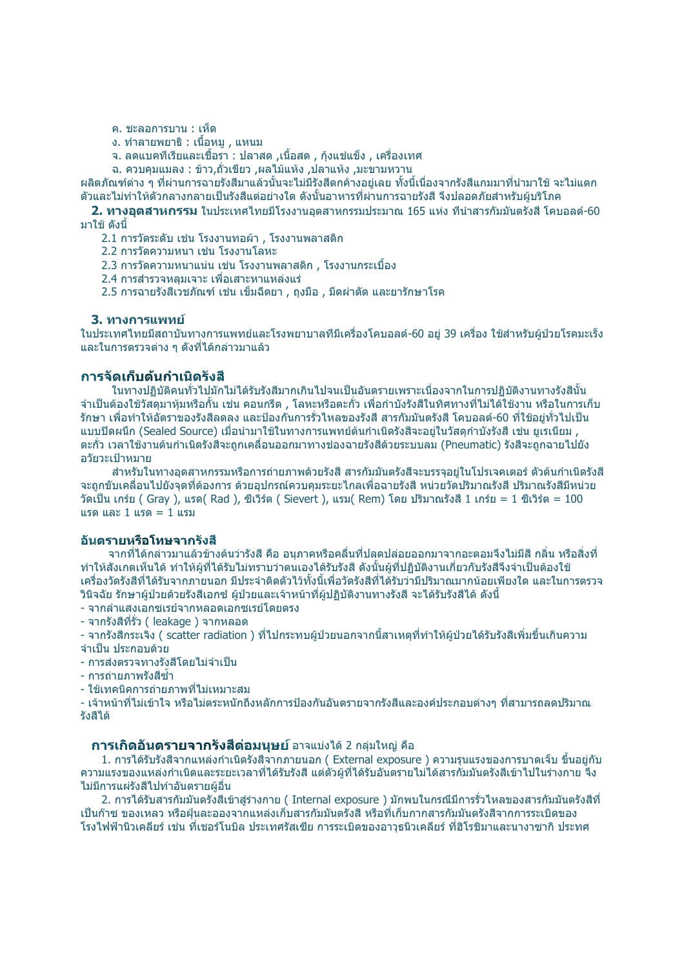ค. ชะลอการบาน : เห็ด

ึง. ทำลายพยาธิ : เนื้อหม . แหนม

็จ. ลดแบคทีเรียและเชื้อรา : ปลาสด ,เนื้อสด , กุ้งแช่แข็ง , เครื่องเทศ

ฉ. ควบคุมแมลง : ข้าว,ถั่วเขียว ,ผลไม้แห้ง ,ปลาแห้ง ,มะขามหวาน

้ผลิตภัณฑ์ต่าง ๆ ที่ผ่านการฉายรังสีมาแล้วนั้นจะไม่มีรังสีตกค้างอยู่เลย ทั้งนี้เนื่องจากรังสีแกมมาที่นำมาใช้ จะไม่แตก ้ตัวและไม่ทำให้ตัวกลางกลายเป็นรังสีแต่อย่างใด ดังนั้นอาหารที่ผ่านการฉายรังสี จึงปลอดภัยสำหรับผับริโภค

2. ทางอุตสาหกรรม ในประเทศไทยมีโรงงานอุตสาหกรรมประมาณ 165 แห่ง ที่นำสารกัมมันตรังสี โคบอุลต์-60 ุ่มาใช้ ดังนี้

2.1 การวัดระดับ เช่น โรงงานทอผ้า , โรงงานพลาสติก

2.2 การวัดความหนา เช่น โรงงานโลหะ

2.3 การวัดความหนาแน่น เช่น โรงงานพลาสติก , โรงงานกระเบื้อง

2.4 การสำรวจหลมเจาะ เพื่อเสาะหาแหล่งแร่

2.5 การฉายรังสีเวชภัณฑ์ เช่น เข็มฉีดยา , ถงมือ , มีดผ่าตัด และยารักษาโรค

#### 3. หางการแพทย์

ในประเทศไทยมีสถาบันทางการแพทย์และโรงพยาบาลที่มีเครื่องโคบอลต์-60 อยู่ 39 เครื่อง ใช้สำหรับผู้ป่วยโรคมะเร็ง ี และในการตรวจต่าง ๆ ดังที่ได้กล่าวมาแล้ว

#### ีการจัดเก็บดันกำเนิดรังสื

ในทางปภิบัติคนทั่วไปมักไม่ได้รับรังสีมากเกินไปจนเป็นอันตรายเพราะเนื่องจากในการปภิบัติงานทางรังสีนั้น ้จำเป็นต้องใช้วัสดุมาหุ้มหรือกั้น เช่น คอนกรีต , โลหะหรือตะกั่ว เพื่อกำบังรังสีในทิศทางที่ไม่ได้ใช้งาน หรือในการเก็บ ้รักษา เพื่อทำให้อัตราของรังสีลดลง และป้องกันการรั่วไหลของรังสี สารกัมมันตรังสี โคบอลต์-60 ที่ใช้อยู่ทั่วไปเป็น ี แบบปิดผนึก (Sealed Source) เมื่อนำมาใช้ในทางการแพทย์ต้นกำเนิดรังสีจะอย่ในวัสดกำบังรังสี เช่น ยเรเนียม , ี่ ตะกั่ว เวลาใช้งานต้นกำเนิดรังสีจะถูกเคลื่อนออกมาทางช่องฉายรังสีด้วยระบบลม (Pneumatic) รังสีจะถูกฉายไปยัง ื่อวัยวะเป้าหมาย

สำหรับในทางอตสาหกรรมหรือการถ่ายภาพด้วยรังสี สารกัมมันตรังสีจะบรรจอย่ในโปรเจคเตอร์ ตัวต้นกำเนิดรังสี ้จะถูกขับเคลื่อนไปยังจุดที่ต้องการ ด้วยอุปกรณ์ควบคุมระยะไกลเพื่อฉายรังสี หน่วยวัดปริมาณรังสี ปริมาณรังสีมีหน่วย วัดเป็น เกร์ย ( Gray ), แรด( Rad ), ซีเวิร์ต ( Sievert ), แรม( Rem) โดย ปริมาณรังสี 1 เกร์ย = 1 ซีเวิร์ต = 100 แรด และ 1 แรด = 1 แรบ

#### อับตรายหรือโทษจากรังสื

้จากที่ได้กล่าวมาแล้วข้างต้นว่ารังสี คือ อนภาคหรือคลื่นที่ปลดปล่อยออกมาจากอะตอมจึงไม่มีสี กลิ่น หรือสิ่งที่ ้ทำให้สังเกตเห็นได้ ทำให้ผู้ที่ได้รับไม่ทราบว่าตนเองได้รับรังสี ดังนั้นผู้ที่ปฏิบัติงานเกี่ยวกับรังสีจึงจำเป็นต้องใช้ ้เครื่องวัดรังสีที่ได้รับจากภายนอก มีประจำติดตัวไว้ทั้งนี้เพื่อวัดรังสีที่ได้รับว่ามีปริมาณมากน้อยเพียงใด และในการตรวจ ้วินิจฉัย รักษาผัป่วยด้วยรังสีเอกซ์ ผ้ป่วยและเจ้าหน้าที่ผ้ปภิบัติงานทางรังสี จะได้รับรังสีได้ ดังนี้

- จากลำแสงเอกซเรย์จากหลอดเอกซเรย์โดยตรง

- จากรังสีที่รั่ว ( leakage ) จากหลอด

- จากรังสีกระเจิ้ง ( scatter radiation ) ที่ไปกระทบผู้ป่วยนอกจากนี้สาเหตุที่ทำให้ผู้ป่วยได้รับรังสีเพิ่มขึ้นเกินความ ี จำเป็น ประกอบด้วย

- การส่งตรวจทางรังสีโดยไม่จำเป็น

- การถ่ายภาพรังสีต่ำ

- ใช้เทคนิคการถ่ายภาพที่ไม่เหมาะสม

- เจ้าหน้าที่ไม่เข้าใจ หรือไม่ตระหนักถึงหลักการป้องกันอันตรายจากรังสีและองค์ประกอบต่างๆ ที่สามารถลดปริมาณ รังสีได้

#### **การเกิดอันตรายจากรังสีต่อมนุษย์** อาจแบ่งได้ 2 กลุ่มใหญ่ คือ

1. การได้รับรังสีจากแหล่งกำเนิดรังสีจากภายนอก ( External exposure ) ความรุนแรงของการบาดเจ็บ ขึ้นอยู่กับ ้ความแรงของแหล่งกำเนิดและระยะเวลาที่ได้รับรังสี แต่ตัวผู้ที่ได้รับอันตรายไม่ได้สารกัมมันตรังสีเข้าไปในร่างกาย จึง ไม่มีการแผ่รังสีไปทำอันตรายผู้อื่น

2. การได้รับสารกัมมันตรังสีเข้าส่ร่างกาย ( Internal exposure ) มักพบในกรณีมีการรั่วไหลของสารกัมมันตรังสีที่ ้เป็นก๊าซ ของเหลว หรือฝ่นละอองจากแหล่งเก็บสารกับบันตรังสี หรือที่เก็บกากสารกับบันตรังสีจากการระเบิดของ โรงไฟฟ้านิวเคลียร์ เช่น ที่เชอร์โนบิล ประเทศรัสเซีย การระเบิดของอาวธนิวเคลียร์ ที่ฮิโรชิมาและนางาซากิ ประทศ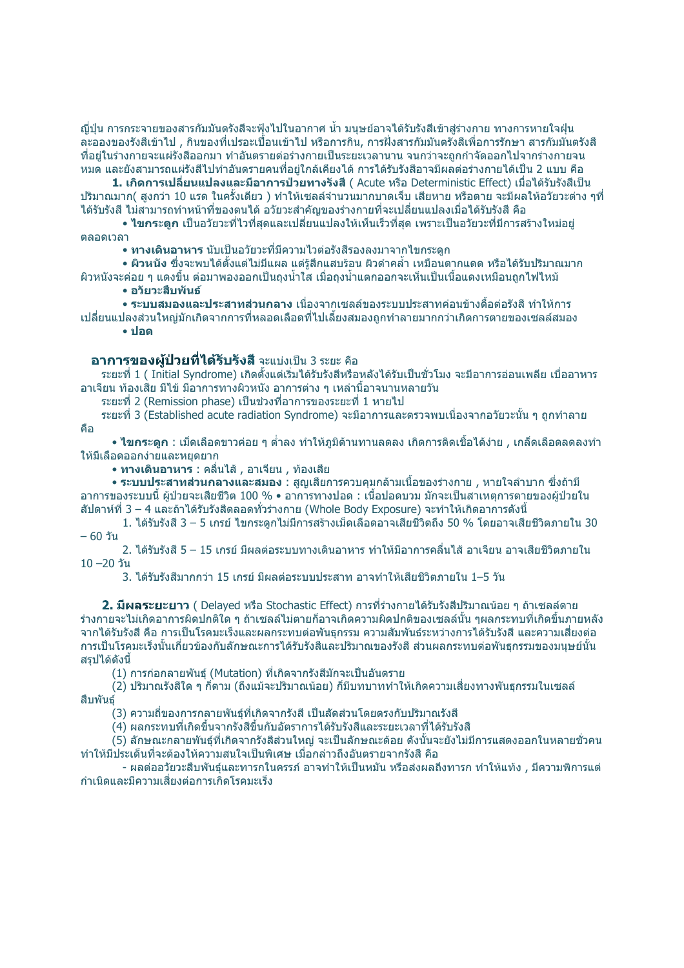ญี่ปุ่น การกระจายของสารกัมมันตรังสีจะฟุ้งไปในอากาศ น้ำ มนุษย์อาจได้รับรังสีเข้าสู่ร่างกาย ทางการหายใจฝุ่น ี่ละอองของรังสีเข้าไป . กินของที่เปรอะเบื้อนเข้าไป หรือการกิน. การฝั่งสารกัมมันตรังสีเพื่อการรักษา สารกัมมันตรังสี ้ที่อย่ในร่างกายจะแผ่รังสืออกมา ทำอันตรายต่อร่างกายเป็นระยะเวลานาน จนกว่าจะถกกำจัดออกไปจากร่างกายจน ้หมด และยังสามารถแผ่รังสีไปทำอันตรายคนที่อยู่ใกล้เคียงได้ การได้รับรังสีอาจมีผลต่อร่างกายได้เป็น 2 แบบ คือ

1. เกิดการเปลี่ยนแปลงและมีอาการป่ว<sup>ั</sup>ยทางรังสี ( Acute หรือ Deterministic Effect) เมื่อได้รับรังสีเป็น ่ ปริมาณมาก( สงกว่า 10 แรด ในครั้งเดียว ) ทำให้เซลล์จำนวนมากบาดเจ็บ เสียหาย หรือตาย จะมีผลให้อวัยวะต่าง ๆที่ ี่ได้รับรังสี ไม่สามารถทำหน้าที่ของตนได้ อวัยวะสำคัญของร่างกายที่จะเปลี่ยนแปลงเมื่อได้รับรังสี คือ

• **ไขกระดก** เป็นอวัยวะที่ไวที่สดและเปลี่ยนแปลงให้เห็นเร็วที่สด เพราะเป็นอวัยวะที่มีการสร้างใหม่อย่ **GARAIDAD** 

• ทางเดินอาหาร นับเป็นอวัยวะที่มีความไวต่อรังสีรองลงมาจากไขกระดก

∙ ผิวหนัง ซึ่งจะพบได้ตั้งแต่ไม่มีแผล แต่รัสึกแสบร้อน ผิวดำคล้ำ เหมือนตากแดด หรือได้รับปริมาณมาก ้ผิวหนังจะค่อย ๆ แดงขึ้น ต่อมาพองออกเป็นถงน้ำใส เมื่อถงน้ำแตกออกจะเห็นเป็นเนื้อแดงเหมือนถกไฟไหม้

• อวัยวะสืบพันธ์

**• ระบบสมองและประสาทส่วนกลาง** เนื่องจากเซลล์ของระบบประสาทค่อนข้างดื้อต่อรังสี ทำให้การ ้เปลี่ยนแปลงส่วนใหญ่มักเกิดจากการที่หลอดเลือดที่ไปเลี้ยงสมองถกทำลายมากกว่าเกิดการตายของเซลล์สมอง  $\bullet$  ปอด

### อาการของผู้ป่วยที่ได้รับรังสี จะแบ่งเป็น 3 ระยะ คือ

ระยะที่ 1 ( Initial Svndrome) เกิดตั้งแต่เริ่มได้รับรังสีหรือหลังได้รับเป็นชั่วโมง จะมีอาการอ่อนเพลีย เบื่ออาหาร ้อาเจียน ท้องเสีย มีไข้ มีอาการทางผิวหนัง อาการต่าง ๆ เหล่านี้อาจนานหลายวัน

ีระยะที่ 2 (Remission phase) เป็นช่วงที่อาการของระยะที่ 1 หายไป

ระยะที่ 3 (Established acute radiation Syndrome) จะมีอาการและตรวจพบเนื่องจากอวัยวะนั้น ๆ ถกทำลาย ดื่อ

**• ไขกระดูก:เ**ม็ดเลือดขาวค่อย ๆ ต่ำลง ทำให้ภูมิต้านทานลดลง เกิดการติดเชื้อได้ง่าย , เกล็ดเลือดลดลงทำ ให้มีเลือดออกง่ายและหยดยาก

• ทางเดินอาหาร : คลื่นไส้ , อาเจียน , ท้องเสีย

**∙ ระบบประสาทส่วนกลางและสมอง** : สุญเสียการควบคุมกล้ามเนื้อของร่างกาย , หายใจลำบาก ซึ่งถ้ามี ีอาการของระบบนี้ ผ้ป่วยจะเสียชีวิต 100 % ∙ อาการทางปอด : เนื้อปอดบวม มักจะเป็นสาเหตการตายของผ้ป่วยใน ี สัปดาห์ที่ 3 – 4 และถ้าได้รับรังสีตลอดทั่วร่างกาย (Whole Body Exposure) จะทำให้เกิดอาการดังนี้

1. ได้รับรังสี 3 – 5 เกรย์ ไขกระดกไม่มีการสร้างเม็ดเลือดอาจเสียชีวิตถึง 50 % โดยอาจเสียชีวิตภายใน 30  $-60$  วัน

2. ได้รับรังสี 5 – 15 เกรย์ มีผลต่อระบบทางเดินอาหาร ทำให้มีอาการคลื่นไส้ อาเจียน อาจเสียชีวิตภายใน  $10 - 20$  วัน

3. ได้รับรังสีมากกว่า 15 เกรย์ มีผลต่อระบบประสาท อาจทำให้เสียชีวิตภายใน 1–5 วัน

2. มีผลระยะยาว ( Delayed หรือ Stochastic Effect) การที่ร่างกายได้รับรังสีปริมาณน้อย ๆ ถ้าเซลล์ตาย ้ร่างกายจะไม่เกิดอาการผิดปกติใด ๆ ถ้าเซลล์ไม่ตายก็อาจเกิดความผิดปกติของเซลล์นั้น ๆผลกระทบที่เกิดขึ้นภายหลัง ้จากได้รับรังสี คือ การเป็นโรคมะเร็งและผลกระทบต่อพันธกรรม ความสัมพันธ์ระหว่างการได้รับรังสี และความเสี่ยงต่อ ึการเป็นโรคมะเร็งนั้นเกี่ยวข้องกับลักษณะการได้รับรังสีและปริมาณของรังสี ส่วนผลกระทบต่อพันธุกรรมของมนุษย์นั้น ิสรปได้ดังนี้

(1) การก่อกลายพันธุ์ (Mutation) ที่เกิดจากรังสีมักจะเป็นอันตราย

(2) ปริมาณรังสีใด ๆ ก็ตาม (ถึงแม้จะปริมาณน้อย) ก็มีบทบาททำให้เกิดความเสี่ยงทางพันธุกรรมในเซลล์ สืบพันธ์

(3) ความถี่ของการกลายพันธ์ที่เกิดจากรังสี เป็นสัดส่วนโดยตรงกับปริมาณรังสี

้(4) ผลกระทบที่เกิดขึ้นจากรังสีขึ้นกับอัตราการได้รับรังสีและระยะเวลาที่ได้รับรังสี

(5) ลักษณะกลายพันธ์ที่เกิดจากรังสีส่วนใหญ่ จะเป็นลักษณะด้อย ดังนั้นจะยังไม่มีการแสดงออกในหลายชั่วคน ้ทำให้มีประเด็นที่จะต้องให้ความสนใจเป็นพิเศษ เมื่อกล่าวถึงอันตรายจากรังสี คือ

- ผลต่ออวัยวะสืบพันธ์และทารกในครรภ์ อาจทำให้เป็นหมัน หรือส่งผลถึงทารก ทำให้แท้ง , มีความพิการแต่ ี่กำเนิดและมีความเสี่ยงต่อการเกิดโรคมะเร็ง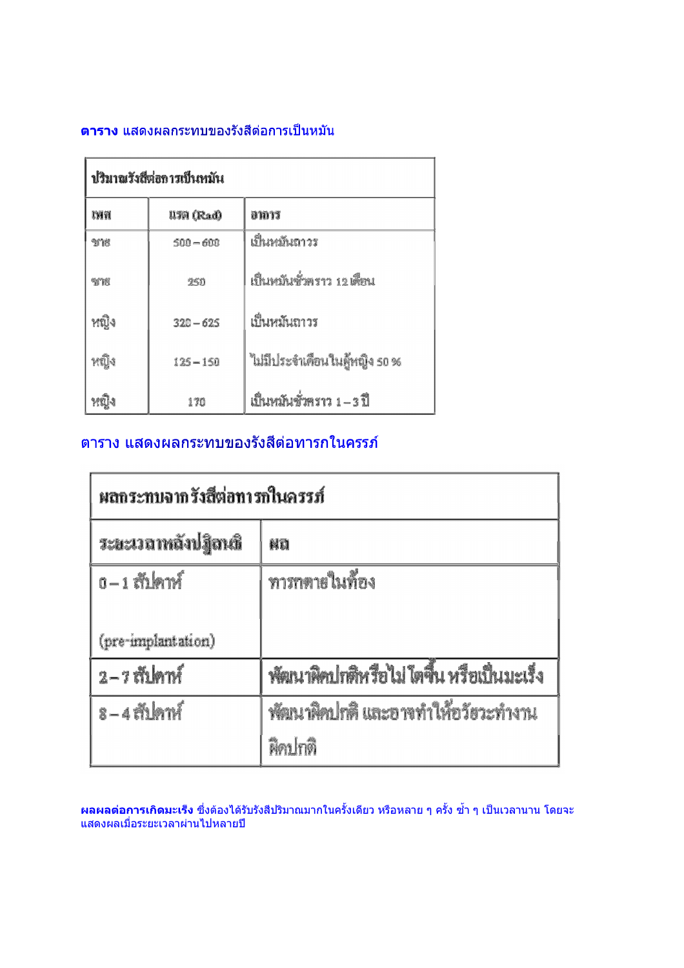### <mark>ตาราง</mark> แสดงผลกระทบของรังสีต่อการเป็นหมัน

| ปริมาณรังสีต่อการเป็นหมัน |             |                               |  |  |
|---------------------------|-------------|-------------------------------|--|--|
| гии                       | IITA (Rad)  | อาการ                         |  |  |
| <b>SMR</b>                | $500 - 600$ | เป็นหมั่นถาวร                 |  |  |
| yth                       | 250         | เป็นหมันชั่วคราว 12 เดือน     |  |  |
| หญิง                      | $320 - 625$ | เป็นหมันถาวร                  |  |  |
| หมิง                      | $125 - 150$ | ไม่มีประจำเดือนในลู้หญิง so % |  |  |
|                           | 170         | เป็นหมันชั่วคราว 1 – 3 ปี     |  |  |

## ิตาราง แสดงผลกระทบของรังสีต่อทารกในครรภ์

| ผลกระทบจากรังสีต่อทารกในครรภ์ |                                           |  |
|-------------------------------|-------------------------------------------|--|
| ระยะเวลาหลังปฏิลนธิ           | NO                                        |  |
| $0 - 1$ and $1 - 0$           | ทารกดายในท้อง                             |  |
|                               |                                           |  |
| (pre-implantation)            |                                           |  |
| $2 - 7$ in $m2$               | พัฒนาผิดปกติหรือไม่ ใตขึ้น หรือเป็นมะเร็ง |  |
| $8 - 4$ in $h$                | พัฒนาผิดปกติ และอาจทำให้อวัยวะทำงาน       |  |
|                               | พิคปกติ                                   |  |

ี <mark>ผลผลต่อการเกิดมะเร็ง</mark> ซึ่งต้องได้รับรังสีปริมาณมากในครั้งเดียว หรือหลาย ๆ ครั้ง ซ้ำ ๆ เป็นเวลานาน โดยจะ<br>แสดงผลเมื่อระยะเวลาผ่านไปหลายปี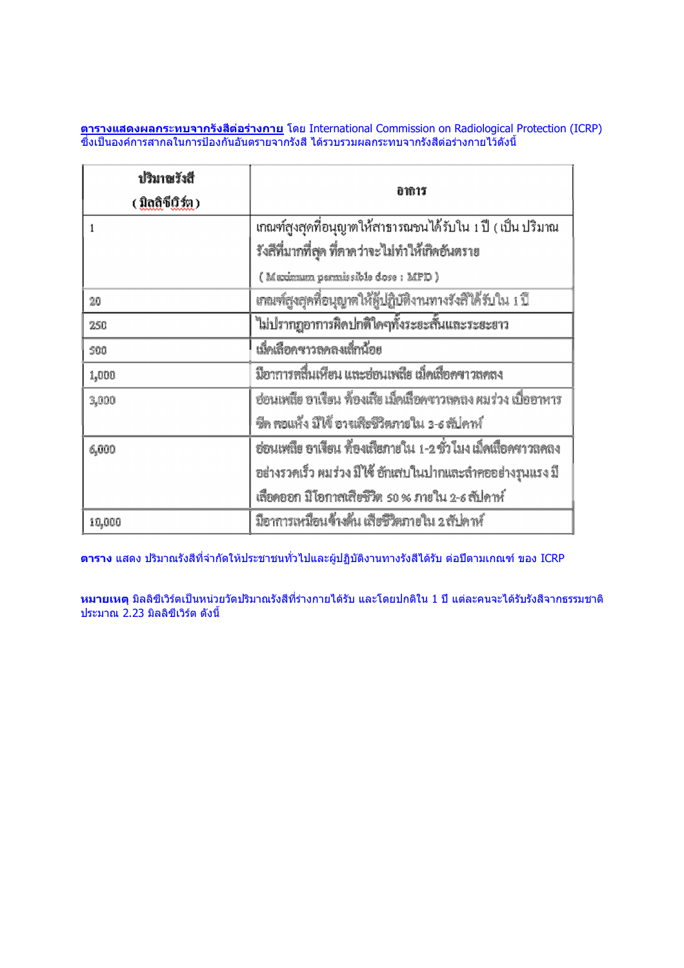<mark>ตารางแสดงผลกระทบจากรังสีต่อร่างกาย</mark> โดย International Commission on Radiological Protection (ICRP)<br>ซึ่งเป็นองค์การสากลในการป้องกันอันตรายจากรังสี ได้รวบรวมผลกระทบจากรังสีต่อร่างกายไว้ดังนี้

| ปริมาณวังสื<br>( มิลสิซีเวิร์ต ) | อาการ                                                           |
|----------------------------------|-----------------------------------------------------------------|
|                                  | เกณฑ์สูงสุดที่อนุญาตให้สาธารณชนได้รับใน 1 ปี ( เป็น ปริมาณ      |
|                                  | รังสีที่มากที่สุด ที่คาดว่าจะไม่ทำให้เกิดอันตราย                |
|                                  | (Maximum permissible dose: MPD)                                 |
| 20                               | ์<br>เกณฑ์สูงสุดที่อนุญาตให้ผู้ปฏิบัติงานทางรังสีใต้รับใน 1 ปี  |
| 250                              | ไม่ปรากฏอาการผิดปกติใดๆทั้งระยะสั้นและระยะยาว                   |
| 500                              | เม็ดเลือดขาวลดลงเล็กน้อย                                        |
| 1,000                            | มือาการคลื่นเหือน และฮ่อนเหลีย เม็คเลือคขาวลคลง                 |
| 3,000                            | ช่อนเพล็ย อาเรียน ท้องเสีย เม็คเลือดซาวลดลง ผมร่วง เบื่ออาหาร   |
|                                  | ชีค คอแห้ง มิได้ อาจเสียชีวิตภายใน 3-6 สัปคาห์                  |
| 6,000                            | ฮ่อนเหลีย อาเจียน ที่องเสียภายใน 1-2 ชั่ว โมง เม็คเสื้อคๆาวลคลง |
|                                  | อย่างรวดเร็ว ผมร่วง มีไข้ อักเสบในปากและลำคออย่างรุนแรง มี      |
|                                  | เลือดออก มีโอกาสเสียชีวิต so % ภายใน 2-6 สัปดาห์                |
| 10,000                           | มีอาการเหมือนจ้างคืน เสียชีวิตภายใน 2 สัปดาห์                   |

ี <mark>ตาราง</mark> แสดง ปริมาณรังสีที่จำกัดให้ประชาชนทั่วไปและผู้ปฏิบัติงานทางรังสีได้รับ ต่อปีตามเกณฑ์ ของ ICRP

<mark>หมายเหตุ</mark> มิลลิซีเวิร์ตเป็นหน่วยวัดปริมาณรังสีที่ร่างกายได้รับ และโดยปกติใน 1 ปี แต่ละคนจะได้รับรังสีจากธรรมชาติ ้<br>ประมาณ 2.23 มิลลิซีเวิร์ต ดังนี้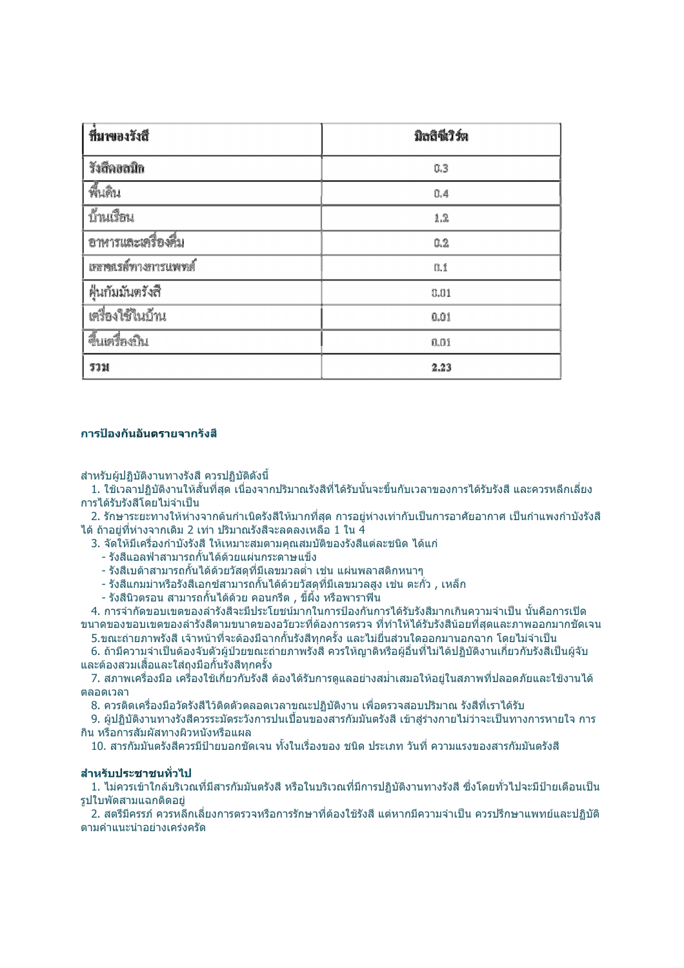| ที่มพองรังสี        | มิลสิตี้วิวัต |
|---------------------|---------------|
| รังสีคอลนิก         | 0.3           |
| พี้เดิน             | 0.4           |
| บ้านเงื่อน          | 1.2           |
| อาหารและเครื่องคืม  | 0.2           |
| เยการเข้ากงการแพทย์ | 0.1           |
| ฝุ่นกัมมันตรังสื    | 0.01          |
| เครื่องใช้ในบ้าน    | 0.01          |
| จีนเครื่องบิน       | 0.01          |
| รวม                 | 2.23          |

#### การป้องกันอันตรายจากรังสื

สำหรับผ้ปฏิบัติงานทางรังสี ควรปฏิบัติดังนี้

1. ใช้เวลาปภิบัติงานให้สั้นที่สด เนื่องจากปริมาณรังสีที่ได้รับนั้นจะขึ้นกับเวลาของการได้รับรังสี และควรหลีกเลี่ยง การได้รับรังสีโดยไม่จำเป็น

2. รักษาระยะทางให้ห่างจากต้นกำเนิดรังสีให้มากที่สุด การอยู่ห่างเท่ากับเป็นการอาศัยอากาศ เป็นกำแพงกำบังรังสี ี่ได้ ถ้าอย่ที่ห่างจากเดิม 2 เท่า ปริมาณรังสีจะลดลงเหลือ 1 ใน 4

3. จัดให้มีเครื่องกำบังรังสี ให้เหมาะสมตามคณสมบัติของรังสีแต่ละชนิด ได้แก่

- รังสีแอลฟ่าสามารถกั้นได้ด้วยแผ่นกระดาษแข็ง
- รังสีเบต้าสามารถกั้นใด้ด้วยวัสดุที่มีเลขมวลต่ำ เช่น แผ่นพลาสติกหนาๆ
- รังสีแกมม่าหรือรังสีเอกซ์สามารถกั้นได้ด้วยวัสดที่มีเลขมวลสง เช่น ตะกั่ว , เหล็ก
- รังสีนิวตรอน สามารถกั้นได้ด้วย คอนกรีต , ขี้ผึ้ง หรือพาราฟิน

4. การจำกัดขอบเขตของลำรังสีจะมีประโยชน์มากในการป้องกันการได้รับรังสีมากเกินความจำเป็น นั้นคือการเปิด ึขนาดของขอบเขตของลำรังสีตามขนาดของอวัยวะที่ต้องการตรวจ ที่ทำให้ได้รับรังสีน้อยที่สุดและภาพออกมากชัดเจน ี 5.ขณะถ่ายภาพรังสี เจ้าหน้าที่จะต้องมีฉากกั้นรังสีทกครั้ง และไม่ยื่นส่วนใดออกมานอกฉาก โดยไม่จำเป็น

6. ถ้ามีความจำเป็นต้องจับตัวผัป่วยขณะถ่ายภาพรังสี ควรให้ฌาติหรือผู้อื่นที่ไม่ได้ปฏิบัติงานเกี่ยวกับรังสีเป็นผู้จับ ู้และต้องสวมเสื้อและใส่ถงมือกั้นรังสีทกครั้ง

7. สภาพเครื่องมือ เครื่องใช้เกี่ยวกับรังสี ต้องได้รับการดแลอย่างสม่ำเสมอให้อย่ในสภาพที่ปลอดภัยและใช้งานได้ ตลอดเวลา

8. ควรดิดเครื่องมือวัดรังสีไว้ดิดตัวตลอดเวลาขณะปฏิบัติงาน เพื่อตรวจสอบปริมาณ รังสีที่เราได้รับ

่ 9. ผัปฏิบัติงานทางรังสีควรระมัดระวังการปนเปื้อนของสารกัมมันตรังสี เข้าส่ร่างกายไม่ว่าจะเป็นทางการหายใจ การ ึกิน หรือการสัมผัสทางผิวหนังหรือแผล

10. สารกัมมันตรังสีควรมีป่ายบอกชัดเจน ทั้งในเรื่องของ ชนิด ประเภท วันที่ ความแรงของสารกัมมันตรังสี

#### สำหรับประชาชนทั่วไป

1. ไม่ควรเข้าใกล้บริเวณที่มีสารกัมมันตรังสี หรือในบริเวณที่มีการปฏิบัติงานทางรังสี ซึ่งโดยทั่วไปจะมีป้ายเตือนเป็น รปใบพัดสามแฉกติดอย่

่ 2. สตรีมีครรภ์ ควรหลีกเลี่ยงการตรวจหรือการรักษาที่ต้องใช้รังสี แต่หากมีความจำเป็น ควรปรึกษาแพทย์และปฏิบัติ ตาบดำแบะบำอย่างเคร่งครัด